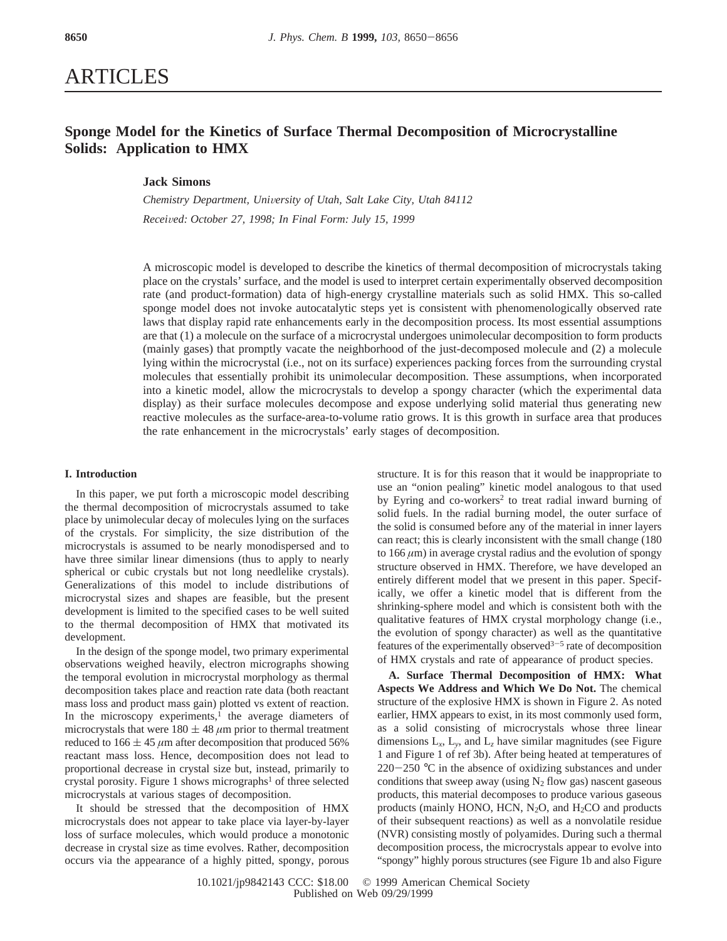# ARTICLES

## **Sponge Model for the Kinetics of Surface Thermal Decomposition of Microcrystalline Solids: Application to HMX**

### **Jack Simons**

*Chemistry Department, Uni*V*ersity of Utah, Salt Lake City, Utah 84112 Recei*V*ed: October 27, 1998; In Final Form: July 15, 1999*

A microscopic model is developed to describe the kinetics of thermal decomposition of microcrystals taking place on the crystals' surface, and the model is used to interpret certain experimentally observed decomposition rate (and product-formation) data of high-energy crystalline materials such as solid HMX. This so-called sponge model does not invoke autocatalytic steps yet is consistent with phenomenologically observed rate laws that display rapid rate enhancements early in the decomposition process. Its most essential assumptions are that (1) a molecule on the surface of a microcrystal undergoes unimolecular decomposition to form products (mainly gases) that promptly vacate the neighborhood of the just-decomposed molecule and (2) a molecule lying within the microcrystal (i.e., not on its surface) experiences packing forces from the surrounding crystal molecules that essentially prohibit its unimolecular decomposition. These assumptions, when incorporated into a kinetic model, allow the microcrystals to develop a spongy character (which the experimental data display) as their surface molecules decompose and expose underlying solid material thus generating new reactive molecules as the surface-area-to-volume ratio grows. It is this growth in surface area that produces the rate enhancement in the microcrystals' early stages of decomposition.

#### **I. Introduction**

In this paper, we put forth a microscopic model describing the thermal decomposition of microcrystals assumed to take place by unimolecular decay of molecules lying on the surfaces of the crystals. For simplicity, the size distribution of the microcrystals is assumed to be nearly monodispersed and to have three similar linear dimensions (thus to apply to nearly spherical or cubic crystals but not long needlelike crystals). Generalizations of this model to include distributions of microcrystal sizes and shapes are feasible, but the present development is limited to the specified cases to be well suited to the thermal decomposition of HMX that motivated its development.

In the design of the sponge model, two primary experimental observations weighed heavily, electron micrographs showing the temporal evolution in microcrystal morphology as thermal decomposition takes place and reaction rate data (both reactant mass loss and product mass gain) plotted vs extent of reaction. In the microscopy experiments, $1$  the average diameters of microcrystals that were  $180 \pm 48 \ \mu m$  prior to thermal treatment reduced to  $166 \pm 45 \mu$ m after decomposition that produced 56% reactant mass loss. Hence, decomposition does not lead to proportional decrease in crystal size but, instead, primarily to crystal porosity. Figure 1 shows micrographs<sup>1</sup> of three selected microcrystals at various stages of decomposition.

It should be stressed that the decomposition of HMX microcrystals does not appear to take place via layer-by-layer loss of surface molecules, which would produce a monotonic decrease in crystal size as time evolves. Rather, decomposition occurs via the appearance of a highly pitted, spongy, porous structure. It is for this reason that it would be inappropriate to use an "onion pealing" kinetic model analogous to that used by Eyring and co-workers<sup>2</sup> to treat radial inward burning of solid fuels. In the radial burning model, the outer surface of the solid is consumed before any of the material in inner layers can react; this is clearly inconsistent with the small change (180 to 166 *µ*m) in average crystal radius and the evolution of spongy structure observed in HMX. Therefore, we have developed an entirely different model that we present in this paper. Specifically, we offer a kinetic model that is different from the shrinking-sphere model and which is consistent both with the qualitative features of HMX crystal morphology change (i.e., the evolution of spongy character) as well as the quantitative features of the experimentally observed $3-5$  rate of decomposition of HMX crystals and rate of appearance of product species.

**A. Surface Thermal Decomposition of HMX: What Aspects We Address and Which We Do Not.** The chemical structure of the explosive HMX is shown in Figure 2. As noted earlier, HMX appears to exist, in its most commonly used form, as a solid consisting of microcrystals whose three linear dimensions  $L_x$ ,  $L_y$ , and  $L_z$  have similar magnitudes (see Figure 1 and Figure 1 of ref 3b). After being heated at temperatures of  $220-250$  °C in the absence of oxidizing substances and under conditions that sweep away (using  $N_2$  flow gas) nascent gaseous products, this material decomposes to produce various gaseous products (mainly HONO, HCN,  $N_2O$ , and  $H_2CO$  and products of their subsequent reactions) as well as a nonvolatile residue (NVR) consisting mostly of polyamides. During such a thermal decomposition process, the microcrystals appear to evolve into "spongy" highly porous structures (see Figure 1b and also Figure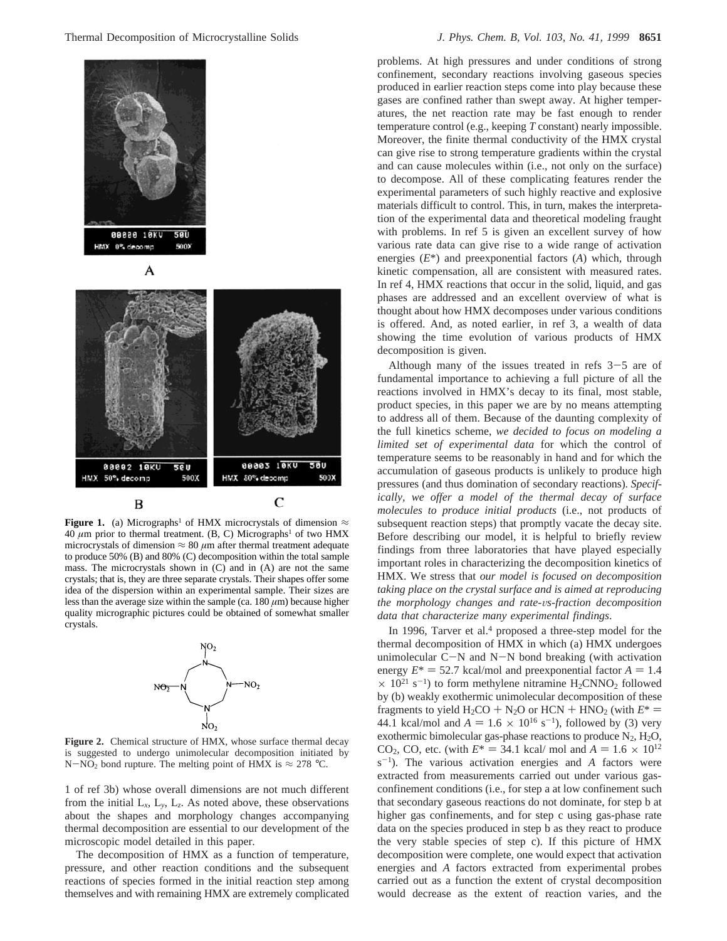

**Figure 1.** (a) Micrographs<sup>1</sup> of HMX microcrystals of dimension  $\approx$ 40 μm prior to thermal treatment. (B, C) Micrographs<sup>1</sup> of two HMX microcrystals of dimension  $\approx 80 \ \mu m$  after thermal treatment adequate to produce 50% (B) and 80% (C) decomposition within the total sample mass. The microcrystals shown in (C) and in (A) are not the same crystals; that is, they are three separate crystals. Their shapes offer some idea of the dispersion within an experimental sample. Their sizes are less than the average size within the sample (ca. 180 *µ*m) because higher quality micrographic pictures could be obtained of somewhat smaller crystals.



**Figure 2.** Chemical structure of HMX, whose surface thermal decay is suggested to undergo unimolecular decomposition initiated by N-NO<sub>2</sub> bond rupture. The melting point of HMX is  $\approx$  278 °C.

1 of ref 3b) whose overall dimensions are not much different from the initial  $L_x$ ,  $L_y$ ,  $L_z$ . As noted above, these observations about the shapes and morphology changes accompanying thermal decomposition are essential to our development of the microscopic model detailed in this paper.

The decomposition of HMX as a function of temperature, pressure, and other reaction conditions and the subsequent reactions of species formed in the initial reaction step among themselves and with remaining HMX are extremely complicated problems. At high pressures and under conditions of strong confinement, secondary reactions involving gaseous species produced in earlier reaction steps come into play because these gases are confined rather than swept away. At higher temperatures, the net reaction rate may be fast enough to render temperature control (e.g., keeping *T* constant) nearly impossible. Moreover, the finite thermal conductivity of the HMX crystal can give rise to strong temperature gradients within the crystal and can cause molecules within (i.e., not only on the surface) to decompose. All of these complicating features render the experimental parameters of such highly reactive and explosive materials difficult to control. This, in turn, makes the interpretation of the experimental data and theoretical modeling fraught with problems. In ref 5 is given an excellent survey of how various rate data can give rise to a wide range of activation energies (*E*\*) and preexponential factors (*A*) which, through kinetic compensation, all are consistent with measured rates. In ref 4, HMX reactions that occur in the solid, liquid, and gas phases are addressed and an excellent overview of what is thought about how HMX decomposes under various conditions is offered. And, as noted earlier, in ref 3, a wealth of data showing the time evolution of various products of HMX decomposition is given.

Although many of the issues treated in refs  $3-5$  are of fundamental importance to achieving a full picture of all the reactions involved in HMX's decay to its final, most stable, product species, in this paper we are by no means attempting to address all of them. Because of the daunting complexity of the full kinetics scheme, *we decided to focus on modeling a limited set of experimental data* for which the control of temperature seems to be reasonably in hand and for which the accumulation of gaseous products is unlikely to produce high pressures (and thus domination of secondary reactions). *Specifically, we offer a model of the thermal decay of surface molecules to produce initial products* (i.e., not products of subsequent reaction steps) that promptly vacate the decay site. Before describing our model, it is helpful to briefly review findings from three laboratories that have played especially important roles in characterizing the decomposition kinetics of HMX. We stress that *our model is focused on decomposition taking place on the crystal surface and is aimed at reproducing the morphology changes and rate-*V*s-fraction decomposition data that characterize many experimental findings*.

In 1996, Tarver et al.<sup>4</sup> proposed a three-step model for the thermal decomposition of HMX in which (a) HMX undergoes unimolecular C-N and N-N bond breaking (with activation energy  $E^* = 52.7$  kcal/mol and preexponential factor  $A = 1.4$ energy  $E^* = 52.7$  kcal/mol and preexponential factor  $A = 1.4 \times 10^{21}$  s<sup>-1</sup>) to form methylene nitramine H<sub>2</sub>CNNO<sub>2</sub> followed by (b) weakly exothermic unimolecular decomposition of these fragments to yield  $H_2CO + N_2O$  or  $HCN + HNO_2$  (with  $E^* =$ 44.1 kcal/mol and  $A = 1.6 \times 10^{16} \text{ s}^{-1}$ , followed by (3) very exothermic bimolecular gas-phase reactions to produce  $N_2$ ,  $H_2O$ , CO<sub>2</sub>, CO, etc. (with  $E^* = 34.1$  kcal/ mol and  $A = 1.6 \times 10^{12}$ s-1). The various activation energies and *A* factors were extracted from measurements carried out under various gasconfinement conditions (i.e., for step a at low confinement such that secondary gaseous reactions do not dominate, for step b at higher gas confinements, and for step c using gas-phase rate data on the species produced in step b as they react to produce the very stable species of step c). If this picture of HMX decomposition were complete, one would expect that activation energies and *A* factors extracted from experimental probes carried out as a function the extent of crystal decomposition would decrease as the extent of reaction varies, and the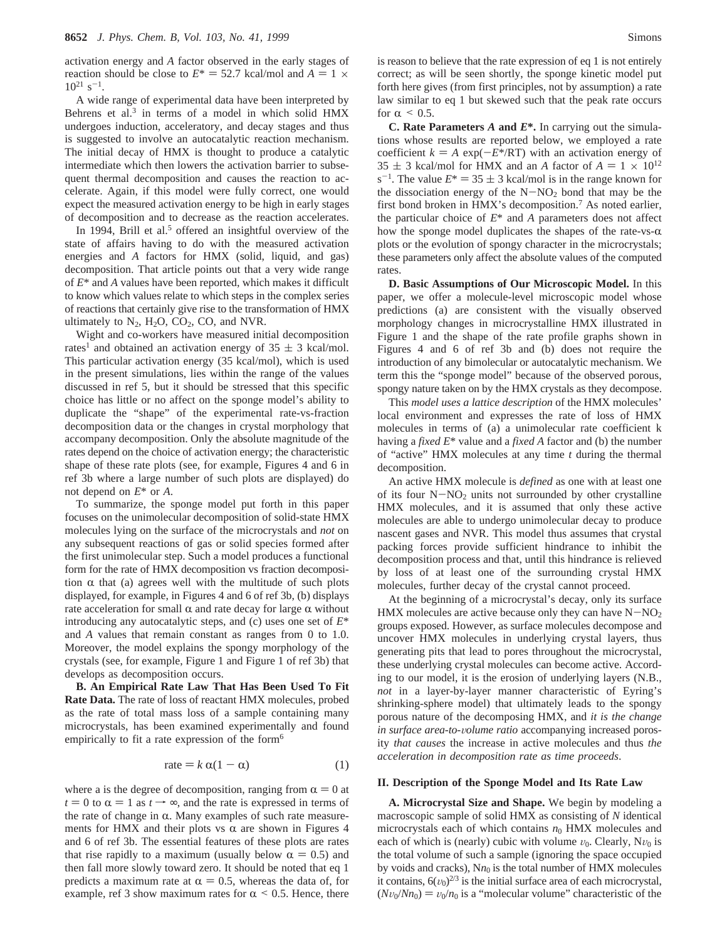activation energy and *A* factor observed in the early stages of reaction should be close to  $E^* = 52.7$  kcal/mol and  $A = 1 \times$  $10^{21}$  s<sup>-1</sup>.

A wide range of experimental data have been interpreted by Behrens et al.<sup>3</sup> in terms of a model in which solid HMX undergoes induction, acceleratory, and decay stages and thus is suggested to involve an autocatalytic reaction mechanism. The initial decay of HMX is thought to produce a catalytic intermediate which then lowers the activation barrier to subsequent thermal decomposition and causes the reaction to accelerate. Again, if this model were fully correct, one would expect the measured activation energy to be high in early stages of decomposition and to decrease as the reaction accelerates.

In 1994, Brill et al.<sup>5</sup> offered an insightful overview of the state of affairs having to do with the measured activation energies and *A* factors for HMX (solid, liquid, and gas) decomposition. That article points out that a very wide range of *E*\* and *A* values have been reported, which makes it difficult to know which values relate to which steps in the complex series of reactions that certainly give rise to the transformation of HMX ultimately to  $N_2$ ,  $H_2O$ ,  $CO_2$ ,  $CO$ , and NVR.

Wight and co-workers have measured initial decomposition rates<sup>1</sup> and obtained an activation energy of  $35 \pm 3$  kcal/mol. This particular activation energy (35 kcal/mol), which is used in the present simulations, lies within the range of the values discussed in ref 5, but it should be stressed that this specific choice has little or no affect on the sponge model's ability to duplicate the "shape" of the experimental rate-vs-fraction decomposition data or the changes in crystal morphology that accompany decomposition. Only the absolute magnitude of the rates depend on the choice of activation energy; the characteristic shape of these rate plots (see, for example, Figures 4 and 6 in ref 3b where a large number of such plots are displayed) do not depend on *E*\* or *A*.

To summarize, the sponge model put forth in this paper focuses on the unimolecular decomposition of solid-state HMX molecules lying on the surface of the microcrystals and *not* on any subsequent reactions of gas or solid species formed after the first unimolecular step. Such a model produces a functional form for the rate of HMX decomposition vs fraction decomposition  $\alpha$  that (a) agrees well with the multitude of such plots displayed, for example, in Figures 4 and 6 of ref 3b, (b) displays rate acceleration for small  $\alpha$  and rate decay for large  $\alpha$  without introducing any autocatalytic steps, and (c) uses one set of *E*\* and *A* values that remain constant as ranges from 0 to 1.0. Moreover, the model explains the spongy morphology of the crystals (see, for example, Figure 1 and Figure 1 of ref 3b) that develops as decomposition occurs.

**B. An Empirical Rate Law That Has Been Used To Fit Rate Data.** The rate of loss of reactant HMX molecules, probed as the rate of total mass loss of a sample containing many microcrystals, has been examined experimentally and found empirically to fit a rate expression of the form<sup>6</sup>

$$
rate = k \alpha (1 - \alpha) \tag{1}
$$

where a is the degree of decomposition, ranging from  $\alpha = 0$  at  $t = 0$  to  $\alpha = 1$  as  $t \rightarrow \infty$ , and the rate is expressed in terms of the rate of change in  $\alpha$ . Many examples of such rate measurements for HMX and their plots vs  $\alpha$  are shown in Figures 4 and 6 of ref 3b. The essential features of these plots are rates that rise rapidly to a maximum (usually below  $\alpha = 0.5$ ) and then fall more slowly toward zero. It should be noted that eq 1 predicts a maximum rate at  $\alpha = 0.5$ , whereas the data of, for example, ref 3 show maximum rates for  $\alpha \le 0.5$ . Hence, there

is reason to believe that the rate expression of eq 1 is not entirely correct; as will be seen shortly, the sponge kinetic model put forth here gives (from first principles, not by assumption) a rate law similar to eq 1 but skewed such that the peak rate occurs for  $\alpha \leq 0.5$ .

**C. Rate Parameters** *A* **and** *E***\*.** In carrying out the simulations whose results are reported below, we employed a rate coefficient  $k = A \exp(-E^* / RT)$  with an activation energy of  $35 \pm 3$  kcal/mol for HMX and an *A* factor of  $A = 1 \times 10^{12}$  $s^{-1}$ . The value  $E^* = 35 \pm 3$  kcal/mol is in the range known for the dissociation energy of the  $N-NO<sub>2</sub>$  bond that may be the first bond broken in HMX's decomposition.7 As noted earlier, the particular choice of *E*\* and *A* parameters does not affect how the sponge model duplicates the shapes of the rate-vs- $\alpha$ plots or the evolution of spongy character in the microcrystals; these parameters only affect the absolute values of the computed rates.

**D. Basic Assumptions of Our Microscopic Model.** In this paper, we offer a molecule-level microscopic model whose predictions (a) are consistent with the visually observed morphology changes in microcrystalline HMX illustrated in Figure 1 and the shape of the rate profile graphs shown in Figures 4 and 6 of ref 3b and (b) does not require the introduction of any bimolecular or autocatalytic mechanism. We term this the "sponge model" because of the observed porous, spongy nature taken on by the HMX crystals as they decompose.

This *model uses a lattice description* of the HMX molecules' local environment and expresses the rate of loss of HMX molecules in terms of (a) a unimolecular rate coefficient k having a *fixed E*\* value and a *fixed A* factor and (b) the number of "active" HMX molecules at any time *t* during the thermal decomposition.

An active HMX molecule is *defined* as one with at least one of its four  $N-NO<sub>2</sub>$  units not surrounded by other crystalline HMX molecules, and it is assumed that only these active molecules are able to undergo unimolecular decay to produce nascent gases and NVR. This model thus assumes that crystal packing forces provide sufficient hindrance to inhibit the decomposition process and that, until this hindrance is relieved by loss of at least one of the surrounding crystal HMX molecules, further decay of the crystal cannot proceed.

At the beginning of a microcrystal's decay, only its surface HMX molecules are active because only they can have  $N-NO<sub>2</sub>$ groups exposed. However, as surface molecules decompose and uncover HMX molecules in underlying crystal layers, thus generating pits that lead to pores throughout the microcrystal, these underlying crystal molecules can become active. According to our model, it is the erosion of underlying layers (N.B., *not* in a layer-by-layer manner characteristic of Eyring's shrinking-sphere model) that ultimately leads to the spongy porous nature of the decomposing HMX, and *it is the change in surface area-to-*V*olume ratio* accompanying increased porosity *that causes* the increase in active molecules and thus *the acceleration in decomposition rate as time proceeds*.

#### **II. Description of the Sponge Model and Its Rate Law**

**A. Microcrystal Size and Shape.** We begin by modeling a macroscopic sample of solid HMX as consisting of *N* identical microcrystals each of which contains *n*<sup>0</sup> HMX molecules and each of which is (nearly) cubic with volume  $v_0$ . Clearly, N $v_0$  is the total volume of such a sample (ignoring the space occupied by voids and cracks), N*n*<sup>0</sup> is the total number of HMX molecules it contains,  $6(v_0)^{2/3}$  is the initial surface area of each microcrystal,  $(Nv_0/Nn_0) = v_0/n_0$  is a "molecular volume" characteristic of the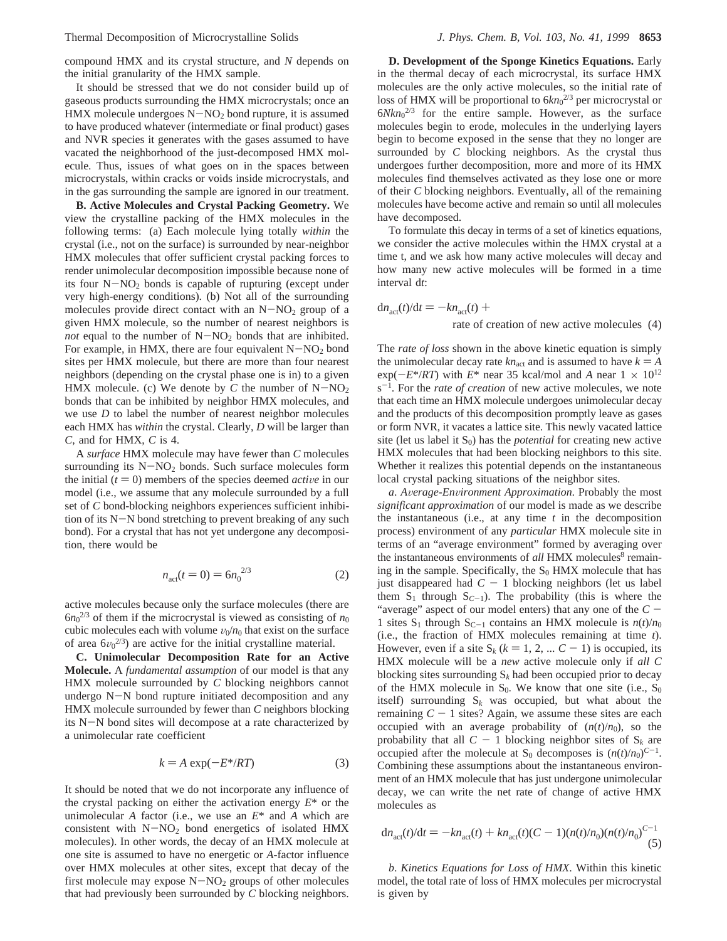compound HMX and its crystal structure, and *N* depends on the initial granularity of the HMX sample.

It should be stressed that we do not consider build up of gaseous products surrounding the HMX microcrystals; once an HMX molecule undergoes  $N-NO_2$  bond rupture, it is assumed to have produced whatever (intermediate or final product) gases and NVR species it generates with the gases assumed to have vacated the neighborhood of the just-decomposed HMX molecule. Thus, issues of what goes on in the spaces between microcrystals, within cracks or voids inside microcrystals, and in the gas surrounding the sample are ignored in our treatment.

**B. Active Molecules and Crystal Packing Geometry.** We view the crystalline packing of the HMX molecules in the following terms: (a) Each molecule lying totally *within* the crystal (i.e., not on the surface) is surrounded by near-neighbor HMX molecules that offer sufficient crystal packing forces to render unimolecular decomposition impossible because none of its four  $N-NO<sub>2</sub>$  bonds is capable of rupturing (except under very high-energy conditions). (b) Not all of the surrounding molecules provide direct contact with an  $N-NO<sub>2</sub>$  group of a given HMX molecule, so the number of nearest neighbors is *not* equal to the number of  $N-NO<sub>2</sub>$  bonds that are inhibited. For example, in HMX, there are four equivalent  $N-NO<sub>2</sub>$  bond sites per HMX molecule, but there are more than four nearest neighbors (depending on the crystal phase one is in) to a given HMX molecule. (c) We denote by  $C$  the number of  $N-NO<sub>2</sub>$ bonds that can be inhibited by neighbor HMX molecules, and we use *D* to label the number of nearest neighbor molecules each HMX has *within* the crystal. Clearly, *D* will be larger than *C*, and for HMX, *C* is 4.

A *surface* HMX molecule may have fewer than *C* molecules surrounding its  $N-NO<sub>2</sub>$  bonds. Such surface molecules form the initial  $(t = 0)$  members of the species deemed *active* in our model (i.e., we assume that any molecule surrounded by a full set of *C* bond-blocking neighbors experiences sufficient inhibition of its N-N bond stretching to prevent breaking of any such bond). For a crystal that has not yet undergone any decomposition, there would be

$$
n_{\text{act}}(t=0) = 6n_0^{2/3} \tag{2}
$$

active molecules because only the surface molecules (there are  $6n_0^{2/3}$  of them if the microcrystal is viewed as consisting of  $n_0$ cubic molecules each with volume  $v_0/n_0$  that exist on the surface of area  $6\nu_0^{2/3}$ ) are active for the initial crystalline material.<br>C. Unimolecular Decomposition Rate for an Act

**C. Unimolecular Decomposition Rate for an Active Molecule.** A *fundamental assumption* of our model is that any HMX molecule surrounded by *C* blocking neighbors cannot undergo N-N bond rupture initiated decomposition and any HMX molecule surrounded by fewer than *C* neighbors blocking its N-N bond sites will decompose at a rate characterized by a unimolecular rate coefficient

$$
k = A \exp(-E^* / RT) \tag{3}
$$

It should be noted that we do not incorporate any influence of the crystal packing on either the activation energy *E*\* or the unimolecular *A* factor (i.e., we use an *E*\* and *A* which are consistent with  $N-NO<sub>2</sub>$  bond energetics of isolated HMX molecules). In other words, the decay of an HMX molecule at one site is assumed to have no energetic or *A*-factor influence over HMX molecules at other sites, except that decay of the first molecule may expose  $N-NO<sub>2</sub>$  groups of other molecules that had previously been surrounded by *C* blocking neighbors.

**D. Development of the Sponge Kinetics Equations.** Early in the thermal decay of each microcrystal, its surface HMX molecules are the only active molecules, so the initial rate of loss of HMX will be proportional to  $6k n_0^{2/3}$  per microcrystal or  $6Nkn_0^{2/3}$  for the entire sample. However, as the surface molecules begin to erode, molecules in the underlying layers begin to become exposed in the sense that they no longer are surrounded by *C* blocking neighbors. As the crystal thus undergoes further decomposition, more and more of its HMX molecules find themselves activated as they lose one or more of their *C* blocking neighbors. Eventually, all of the remaining molecules have become active and remain so until all molecules have decomposed.

To formulate this decay in terms of a set of kinetics equations, we consider the active molecules within the HMX crystal at a time t, and we ask how many active molecules will decay and how many new active molecules will be formed in a time interval d*t*:

$$
dn_{\text{act}}(t)/dt = -kn_{\text{act}}(t) +
$$
  
rate of creation of new active molecules (4)

The *rate of loss* shown in the above kinetic equation is simply the unimolecular decay rate  $kn_{\text{act}}$  and is assumed to have  $k = A$  $\exp(-E^* /RT)$  with  $E^*$  near 35 kcal/mol and *A* near  $1 \times 10^{12}$ s<sup>-1</sup>. For the *rate of creation* of new active molecules, we note that each time an HMX molecule undergoes unimolecular decay and the products of this decomposition promptly leave as gases or form NVR, it vacates a lattice site. This newly vacated lattice site (let us label it  $S_0$ ) has the *potential* for creating new active HMX molecules that had been blocking neighbors to this site. Whether it realizes this potential depends on the instantaneous local crystal packing situations of the neighbor sites.

*<sup>a</sup>*. *<sup>A</sup>*V*erage-En*V*ironment Approximation*. Probably the most *significant approximation* of our model is made as we describe the instantaneous (i.e., at any time *t* in the decomposition process) environment of any *particular* HMX molecule site in terms of an "average environment" formed by averaging over the instantaneous environments of *all* HMX molecules<sup>8</sup> remaining in the sample. Specifically, the  $S_0$  HMX molecule that has just disappeared had  $C - 1$  blocking neighbors (let us label them  $S_1$  through  $S_{C-1}$ ). The probability (this is where the "average" aspect of our model enters) that any one of the  $C$  -1 sites  $S_1$  through  $S_{C-1}$  contains an HMX molecule is  $n(t)/n_0$ (i.e., the fraction of HMX molecules remaining at time *t*). However, even if a site  $S_k$  ( $k = 1, 2, ... C - 1$ ) is occupied, its HMX molecule will be a *new* active molecule only if *all C* blocking sites surrounding  $S_k$  had been occupied prior to decay of the HMX molecule in  $S_0$ . We know that one site (i.e.,  $S_0$ ) itself) surrounding S*<sup>k</sup>* was occupied, but what about the remaining  $C - 1$  sites? Again, we assume these sites are each occupied with an average probability of  $(n(t)/n_0)$ , so the probability that all  $C - 1$  blocking neighbor sites of  $S_k$  are occupied after the molecule at S<sub>0</sub> decomposes is  $(n(t)/n_0)^{C-1}$ . Combining these assumptions about the instantaneous environment of an HMX molecule that has just undergone unimolecular decay, we can write the net rate of change of active HMX molecules as

$$
dn_{\text{act}}(t)/dt = -kn_{\text{act}}(t) + kn_{\text{act}}(t)(C-1)(n(t)/n_0)(n(t)/n_0)^{C-1}
$$
\n(5)

*b*. *Kinetics Equations for Loss of HMX*. Within this kinetic model, the total rate of loss of HMX molecules per microcrystal is given by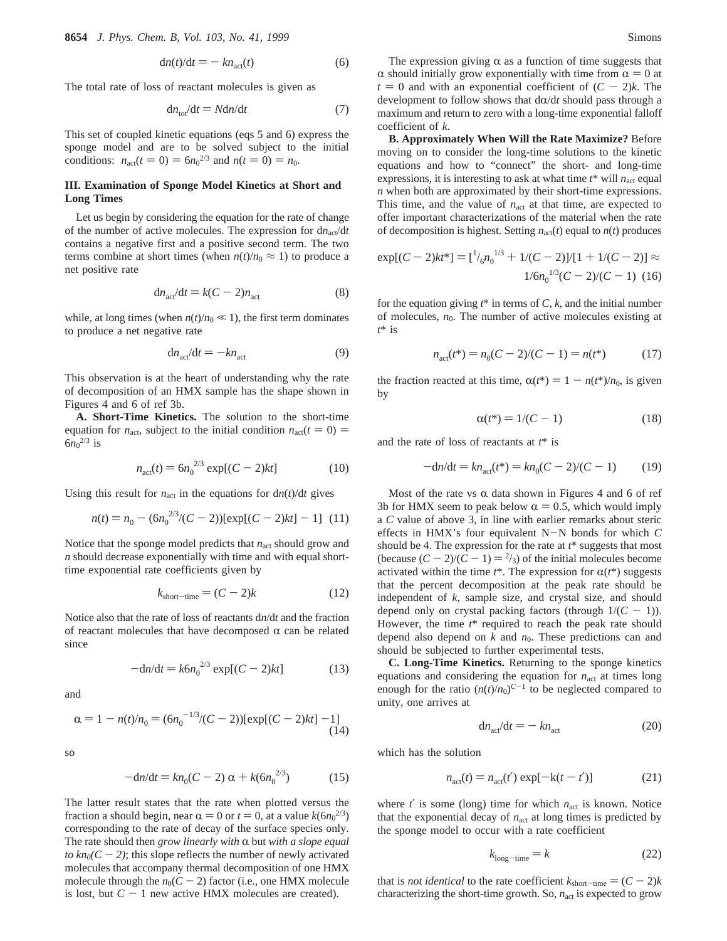$$
dn(t)/dt = -kn_{act}(t)
$$
 (6)

The total rate of loss of reactant molecules is given as

$$
dn_{\text{tot}}/dt = Ndn/dt \tag{7}
$$

This set of coupled kinetic equations (eqs 5 and 6) express the sponge model and are to be solved subject to the initial conditions:  $n_{\text{act}}(t = 0) = 6n_0^{2/3}$  and  $n(t = 0) = n_0$ .

#### **III. Examination of Sponge Model Kinetics at Short and Long Times**

Let us begin by considering the equation for the rate of change of the number of active molecules. The expression for  $dn_{\text{act}}/dt$ contains a negative first and a positive second term. The two terms combine at short times (when  $n(t)/n_0 \approx 1$ ) to produce a net positive rate

$$
dn_{\text{act}}/dt = k(C - 2)n_{\text{act}} \tag{8}
$$

while, at long times (when  $n(t)/n_0 \ll 1$ ), the first term dominates to produce a net negative rate

$$
dn_{\text{act}}/dt = -kn_{\text{act}} \tag{9}
$$

This observation is at the heart of understanding why the rate of decomposition of an HMX sample has the shape shown in Figures 4 and 6 of ref 3b.

**A. Short-Time Kinetics.** The solution to the short-time equation for  $n_{\text{act}}$ , subject to the initial condition  $n_{\text{act}}(t = 0)$  =  $6n_0^{2/3}$  is

$$
n_{\text{act}}(t) = 6n_0^{2/3} \exp[(C - 2)kt] \tag{10}
$$

Using this result for  $n_{\text{act}}$  in the equations for  $dn(t)/dt$  gives

$$
n(t) = n_0 - (6n_0^{2/3}/(C-2))\left[\exp[(C-2)kt] - 1\right] \tag{11}
$$

Notice that the sponge model predicts that  $n_{act}$  should grow and *n* should decrease exponentially with time and with equal shorttime exponential rate coefficients given by

$$
k_{\text{short-time}} = (C - 2)k \tag{12}
$$

Notice also that the rate of loss of reactants d*n*/d*t* and the fraction of reactant molecules that have decomposed  $\alpha$  can be related since

$$
-dn/dt = k6n_0^{2/3} \exp[(C-2)kt]
$$
 (13)

and

$$
\alpha = 1 - n(t)/n_0 = (6n_0^{-1/3}/(C-2))[\exp[(C-2)kt] - 1]
$$
\n(14)

so

$$
-\mathrm{d}n/\mathrm{d}t = kn_0(C-2) \alpha + k(6n_0^{2/3})
$$
 (15)

The latter result states that the rate when plotted versus the fraction a should begin, near  $\alpha = 0$  or  $t = 0$ , at a value  $k(6n_0^{2/3})$ <br>corresponding to the rate of decay of the surface species only corresponding to the rate of decay of the surface species only. The rate should then *grow linearly with*  $\alpha$  but *with* a *slope equal to kn* $_0$ ( $C - 2$ ); this slope reflects the number of newly activated molecules that accompany thermal decomposition of one HMX molecule through the  $n_0(C - 2)$  factor (i.e., one HMX molecule is lost, but  $C - 1$  new active HMX molecules are created).

The expression giving  $\alpha$  as a function of time suggests that  $\alpha$  should initially grow exponentially with time from  $\alpha = 0$  at  $t = 0$  and with an exponential coefficient of  $(C - 2)k$ . The development to follow shows that  $d\alpha/dt$  should pass through a maximum and return to zero with a long-time exponential falloff coefficient of *k*.

**B. Approximately When Will the Rate Maximize?** Before moving on to consider the long-time solutions to the kinetic equations and how to "connect" the short- and long-time expressions, it is interesting to ask at what time  $t^*$  will  $n_{\text{act}}$  equal *n* when both are approximated by their short-time expressions. This time, and the value of  $n_{\text{act}}$  at that time, are expected to offer important characterizations of the material when the rate of decomposition is highest. Setting  $n_{\text{act}}(t)$  equal to  $n(t)$  produces

$$
\exp[(C-2)kt^*] = \binom{1}{6}n_0^{1/3} + \frac{1}{C-2}\left[\frac{1}{1} + \frac{1}{C-2}\right] \approx \frac{1}{6}n_0^{1/3}(C-2)/(C-1) \tag{16}
$$

for the equation giving *t*\* in terms of *C*, *k*, and the initial number of molecules,  $n_0$ . The number of active molecules existing at *t*\* is

$$
n_{\text{act}}(t^*) = n_0(C - 2)/(C - 1) = n(t^*)
$$
 (17)

the fraction reacted at this time,  $\alpha(t^*) = 1 - n(t^*)/n_0$ , is given by

$$
\alpha(t^*) = 1/(C - 1) \tag{18}
$$

and the rate of loss of reactants at *t*\* is

$$
-\mathrm{d}n/\mathrm{d}t = kn_{\mathrm{act}}(t^*) = kn_0(C-2)/(C-1)
$$
 (19)

Most of the rate vs  $\alpha$  data shown in Figures 4 and 6 of ref 3b for HMX seem to peak below  $\alpha = 0.5$ , which would imply a *C* value of above 3, in line with earlier remarks about steric effects in HMX's four equivalent N-N bonds for which *<sup>C</sup>* should be 4. The expression for the rate at *t*\* suggests that most (because  $(C - 2)/(C - 1) = \frac{2}{3}$ ) of the initial molecules become activated within the time  $t^*$ . The expression for  $\alpha(t^*)$  suggests that the percent decomposition at the peak rate should be independent of *k*, sample size, and crystal size, and should depend only on crystal packing factors (through  $1/(C - 1)$ ). However, the time *t*\* required to reach the peak rate should depend also depend on *k* and *n*0. These predictions can and should be subjected to further experimental tests.

**C. Long-Time Kinetics.** Returning to the sponge kinetics equations and considering the equation for  $n_{\text{act}}$  at times long enough for the ratio  $(n(t)/n_0)^{C-1}$  to be neglected compared to unity, one arrives at

$$
dn_{\text{act}}/dt = -kn_{\text{act}} \tag{20}
$$

which has the solution

$$
n_{\text{act}}(t) = n_{\text{act}}(t') \exp[-k(t - t')]
$$
 (21)

where  $t'$  is some (long) time for which  $n_{\text{act}}$  is known. Notice that the exponential decay of  $n_{\text{act}}$  at long times is predicted by the sponge model to occur with a rate coefficient

$$
k_{\text{long-time}} = k \tag{22}
$$

that is *not identical* to the rate coefficient  $k_{\text{short-time}} = (C - 2)k$ characterizing the short-time growth. So,  $n_{\text{act}}$  is expected to grow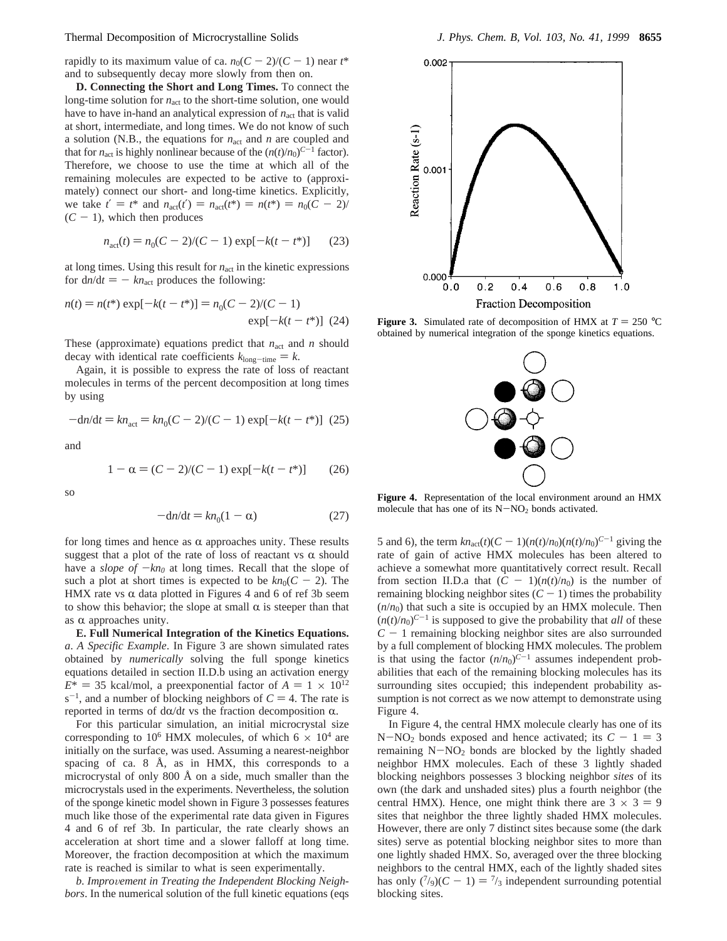rapidly to its maximum value of ca.  $n_0(C - 2)/(C - 1)$  near  $t^*$ and to subsequently decay more slowly from then on.

**D. Connecting the Short and Long Times.** To connect the long-time solution for  $n_{\text{act}}$  to the short-time solution, one would have to have in-hand an analytical expression of  $n_{\text{act}}$  that is valid at short, intermediate, and long times. We do not know of such a solution (N.B., the equations for  $n_{\text{act}}$  and  $n$  are coupled and that for  $n_{\text{act}}$  is highly nonlinear because of the  $(n(t)/n_0)^{C-1}$  factor). Therefore, we choose to use the time at which all of the remaining molecules are expected to be active to (approximately) connect our short- and long-time kinetics. Explicitly, we take  $t' = t^*$  and  $n_{\text{act}}(t') = n_{\text{act}}(t^*) = n(t^*) = n_0(C - 2)$ /  $(C - 1)$ , which then produces

$$
n_{\text{act}}(t) = n_0(C - 2)/(C - 1)\exp[-k(t - t^*)]
$$
 (23)

at long times. Using this result for  $n_{\text{act}}$  in the kinetic expressions for  $dn/dt = -k n_{\text{act}}$  produces the following:

$$
n(t) = n(t^*) \exp[-k(t - t^*)] = n_0(C - 2)/(C - 1)
$$
  
 
$$
\exp[-k(t - t^*)]
$$
 (24)

These (approximate) equations predict that  $n_{\text{act}}$  and  $n$  should decay with identical rate coefficients  $k_{\text{long-time}} = k$ .

Again, it is possible to express the rate of loss of reactant molecules in terms of the percent decomposition at long times by using

$$
-dn/dt = kn_{\text{act}} = kn_0(C-2)/(C-1)\exp[-k(t-t^*)]
$$
 (25)

and

$$
1 - \alpha = (C - 2)/(C - 1) \exp[-k(t - t^*)]
$$
 (26)

so

$$
-\mathrm{d}n/\mathrm{d}t = kn_0(1-\alpha) \tag{27}
$$

for long times and hence as  $\alpha$  approaches unity. These results suggest that a plot of the rate of loss of reactant vs  $\alpha$  should have a *slope of*  $-kn_0$  at long times. Recall that the slope of such a plot at short times is expected to be  $k n_0 (C - 2)$ . The HMX rate vs  $\alpha$  data plotted in Figures 4 and 6 of ref 3b seem to show this behavior; the slope at small  $\alpha$  is steeper than that as  $\alpha$  approaches unity.

**E. Full Numerical Integration of the Kinetics Equations.** *a*. *A Specific Example*. In Figure 3 are shown simulated rates obtained by *numerically* solving the full sponge kinetics equations detailed in section II.D.b using an activation energy  $E^* = 35$  kcal/mol, a preexponential factor of  $A = 1 \times 10^{12}$  $s^{-1}$ , and a number of blocking neighbors of  $C = 4$ . The rate is reported in terms of  $d\alpha/dt$  vs the fraction decomposition  $\alpha$ .

For this particular simulation, an initial microcrystal size corresponding to 10<sup>6</sup> HMX molecules, of which  $6 \times 10^4$  are initially on the surface, was used. Assuming a nearest-neighbor spacing of ca. 8 Å, as in HMX, this corresponds to a microcrystal of only 800 Å on a side, much smaller than the microcrystals used in the experiments. Nevertheless, the solution of the sponge kinetic model shown in Figure 3 possesses features much like those of the experimental rate data given in Figures 4 and 6 of ref 3b. In particular, the rate clearly shows an acceleration at short time and a slower falloff at long time. Moreover, the fraction decomposition at which the maximum rate is reached is similar to what is seen experimentally.

*<sup>b</sup>*. *Impro*V*ement in Treating the Independent Blocking Neighbors*. In the numerical solution of the full kinetic equations (eqs



**Figure 3.** Simulated rate of decomposition of HMX at  $T = 250$  °C obtained by numerical integration of the sponge kinetics equations.



**Figure 4.** Representation of the local environment around an HMX molecule that has one of its  $N-NO<sub>2</sub>$  bonds activated.

5 and 6), the term  $k n_{\text{act}}(t) (C - 1) (n(t)/n_0) (n(t)/n_0)^{C-1}$  giving the rate of gain of active HMX molecules has been altered to achieve a somewhat more quantitatively correct result. Recall from section II.D.a that  $(C - 1)(n(t)/n_0)$  is the number of remaining blocking neighbor sites  $(C - 1)$  times the probability  $(n/n_0)$  that such a site is occupied by an HMX molecule. Then  $(n(t)/n_0)^{C-1}$  is supposed to give the probability that *all* of these  $C - 1$  remaining blocking neighbor sites are also surrounded by a full complement of blocking HMX molecules. The problem is that using the factor  $(n/n_0)^{\tilde{C}-1}$  assumes independent probabilities that each of the remaining blocking molecules has its surrounding sites occupied; this independent probability assumption is not correct as we now attempt to demonstrate using Figure 4.

In Figure 4, the central HMX molecule clearly has one of its  $N-NO<sub>2</sub>$  bonds exposed and hence activated; its  $C - 1 = 3$ remaining N-NO2 bonds are blocked by the lightly shaded neighbor HMX molecules. Each of these 3 lightly shaded blocking neighbors possesses 3 blocking neighbor *sites* of its own (the dark and unshaded sites) plus a fourth neighbor (the central HMX). Hence, one might think there are  $3 \times 3 = 9$ sites that neighbor the three lightly shaded HMX molecules. However, there are only 7 distinct sites because some (the dark sites) serve as potential blocking neighbor sites to more than one lightly shaded HMX. So, averaged over the three blocking neighbors to the central HMX, each of the lightly shaded sites has only  $(7/9)(C - 1) = 7/3$  independent surrounding potential blocking sites.